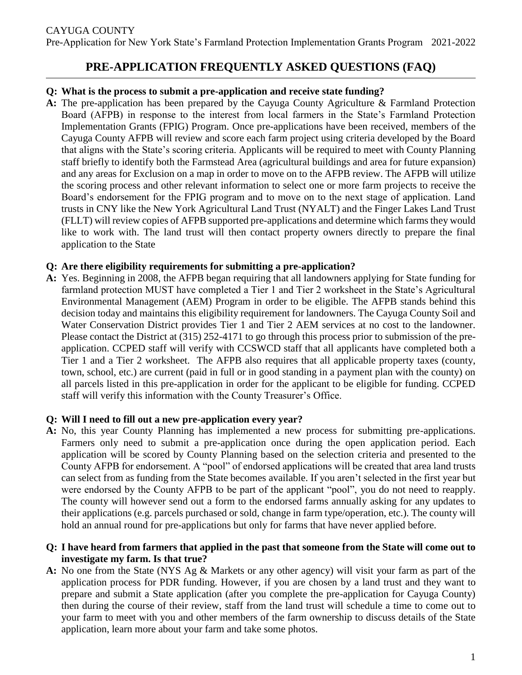# **PRE-APPLICATION FREQUENTLY ASKED QUESTIONS (FAQ)**

#### **Q: What is the process to submit a pre-application and receive state funding?**

**A:** The pre-application has been prepared by the Cayuga County Agriculture & Farmland Protection Board (AFPB) in response to the interest from local farmers in the State's Farmland Protection Implementation Grants (FPIG) Program. Once pre-applications have been received, members of the Cayuga County AFPB will review and score each farm project using criteria developed by the Board that aligns with the State's scoring criteria. Applicants will be required to meet with County Planning staff briefly to identify both the Farmstead Area (agricultural buildings and area for future expansion) and any areas for Exclusion on a map in order to move on to the AFPB review. The AFPB will utilize the scoring process and other relevant information to select one or more farm projects to receive the Board's endorsement for the FPIG program and to move on to the next stage of application. Land trusts in CNY like the New York Agricultural Land Trust (NYALT) and the Finger Lakes Land Trust (FLLT) will review copies of AFPB supported pre-applications and determine which farms they would like to work with. The land trust will then contact property owners directly to prepare the final application to the State

#### **Q: Are there eligibility requirements for submitting a pre-application?**

**A:** Yes. Beginning in 2008, the AFPB began requiring that all landowners applying for State funding for farmland protection MUST have completed a Tier 1 and Tier 2 worksheet in the State's Agricultural Environmental Management (AEM) Program in order to be eligible. The AFPB stands behind this decision today and maintains this eligibility requirement for landowners. The Cayuga County Soil and Water Conservation District provides Tier 1 and Tier 2 AEM services at no cost to the landowner. Please contact the District at (315) 252-4171 to go through this process prior to submission of the preapplication. CCPED staff will verify with CCSWCD staff that all applicants have completed both a Tier 1 and a Tier 2 worksheet. The AFPB also requires that all applicable property taxes (county, town, school, etc.) are current (paid in full or in good standing in a payment plan with the county) on all parcels listed in this pre-application in order for the applicant to be eligible for funding. CCPED staff will verify this information with the County Treasurer's Office.

#### **Q: Will I need to fill out a new pre-application every year?**

**A:** No, this year County Planning has implemented a new process for submitting pre-applications. Farmers only need to submit a pre-application once during the open application period. Each application will be scored by County Planning based on the selection criteria and presented to the County AFPB for endorsement. A "pool" of endorsed applications will be created that area land trusts can select from as funding from the State becomes available. If you aren't selected in the first year but were endorsed by the County AFPB to be part of the applicant "pool", you do not need to reapply. The county will however send out a form to the endorsed farms annually asking for any updates to their applications (e.g. parcels purchased or sold, change in farm type/operation, etc.). The county will hold an annual round for pre-applications but only for farms that have never applied before.

### **Q: I have heard from farmers that applied in the past that someone from the State will come out to investigate my farm. Is that true?**

**A:** No one from the State (NYS Ag & Markets or any other agency) will visit your farm as part of the application process for PDR funding. However, if you are chosen by a land trust and they want to prepare and submit a State application (after you complete the pre-application for Cayuga County) then during the course of their review, staff from the land trust will schedule a time to come out to your farm to meet with you and other members of the farm ownership to discuss details of the State application, learn more about your farm and take some photos.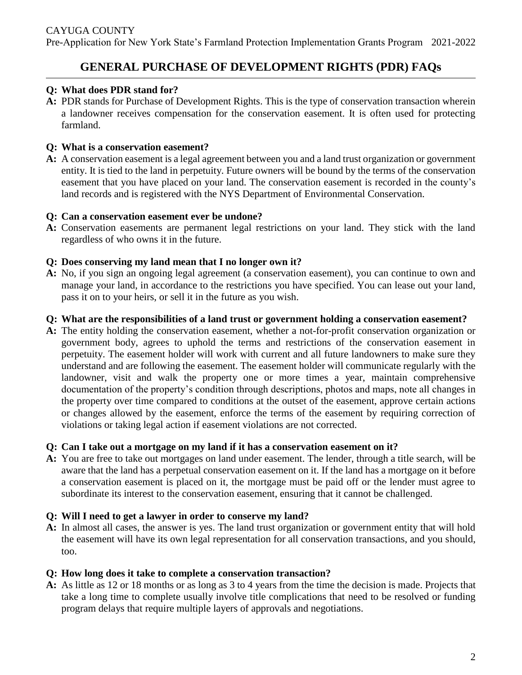## **GENERAL PURCHASE OF DEVELOPMENT RIGHTS (PDR) FAQs**

### **Q: What does PDR stand for?**

**A:** PDR stands for Purchase of Development Rights. This is the type of conservation transaction wherein a landowner receives compensation for the conservation easement. It is often used for protecting farmland.

#### **Q: What is a conservation easement?**

**A:** A conservation easement is a legal agreement between you and a land trust organization or government entity. It is tied to the land in perpetuity. Future owners will be bound by the terms of the conservation easement that you have placed on your land. The conservation easement is recorded in the county's land records and is registered with the NYS Department of Environmental Conservation.

#### **Q: Can a conservation easement ever be undone?**

**A:** Conservation easements are permanent legal restrictions on your land. They stick with the land regardless of who owns it in the future.

#### **Q: Does conserving my land mean that I no longer own it?**

**A:** No, if you sign an ongoing legal agreement (a conservation easement), you can continue to own and manage your land, in accordance to the restrictions you have specified. You can lease out your land, pass it on to your heirs, or sell it in the future as you wish.

#### **Q: What are the responsibilities of a land trust or government holding a conservation easement?**

**A:** The entity holding the conservation easement, whether a not-for-profit conservation organization or government body, agrees to uphold the terms and restrictions of the conservation easement in perpetuity. The easement holder will work with current and all future landowners to make sure they understand and are following the easement. The easement holder will communicate regularly with the landowner, visit and walk the property one or more times a year, maintain comprehensive documentation of the property's condition through descriptions, photos and maps, note all changes in the property over time compared to conditions at the outset of the easement, approve certain actions or changes allowed by the easement, enforce the terms of the easement by requiring correction of violations or taking legal action if easement violations are not corrected.

#### **Q: Can I take out a mortgage on my land if it has a conservation easement on it?**

**A:** You are free to take out mortgages on land under easement. The lender, through a title search, will be aware that the land has a perpetual conservation easement on it. If the land has a mortgage on it before a conservation easement is placed on it, the mortgage must be paid off or the lender must agree to subordinate its interest to the conservation easement, ensuring that it cannot be challenged.

#### **Q: Will I need to get a lawyer in order to conserve my land?**

**A:** In almost all cases, the answer is yes. The land trust organization or government entity that will hold the easement will have its own legal representation for all conservation transactions, and you should, too.

#### **Q: How long does it take to complete a conservation transaction?**

**A:** As little as 12 or 18 months or as long as 3 to 4 years from the time the decision is made. Projects that take a long time to complete usually involve title complications that need to be resolved or funding program delays that require multiple layers of approvals and negotiations.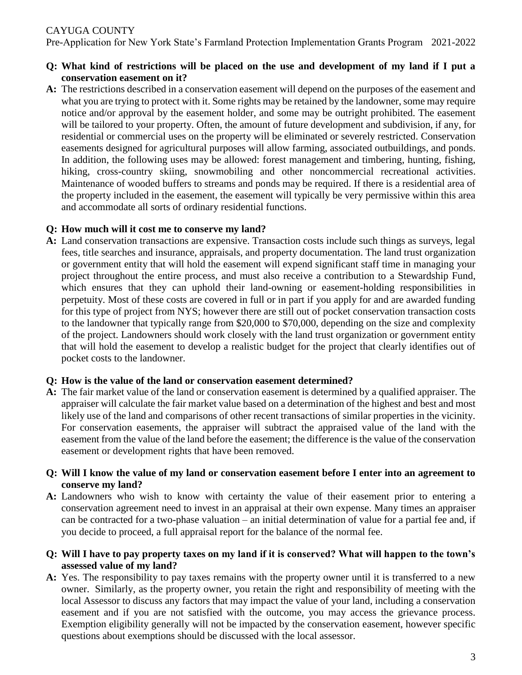## CAYUGA COUNTY

Pre-Application for New York State's Farmland Protection Implementation Grants Program 2021-2022

- **Q: What kind of restrictions will be placed on the use and development of my land if I put a conservation easement on it?**
- **A:** The restrictions described in a conservation easement will depend on the purposes of the easement and what you are trying to protect with it. Some rights may be retained by the landowner, some may require notice and/or approval by the easement holder, and some may be outright prohibited. The easement will be tailored to your property. Often, the amount of future development and subdivision, if any, for residential or commercial uses on the property will be eliminated or severely restricted. Conservation easements designed for agricultural purposes will allow farming, associated outbuildings, and ponds. In addition, the following uses may be allowed: forest management and timbering, hunting, fishing, hiking, cross-country skiing, snowmobiling and other noncommercial recreational activities. Maintenance of wooded buffers to streams and ponds may be required. If there is a residential area of the property included in the easement, the easement will typically be very permissive within this area and accommodate all sorts of ordinary residential functions.

#### **Q: How much will it cost me to conserve my land?**

**A:** Land conservation transactions are expensive. Transaction costs include such things as surveys, legal fees, title searches and insurance, appraisals, and property documentation. The land trust organization or government entity that will hold the easement will expend significant staff time in managing your project throughout the entire process, and must also receive a contribution to a Stewardship Fund, which ensures that they can uphold their land-owning or easement-holding responsibilities in perpetuity. Most of these costs are covered in full or in part if you apply for and are awarded funding for this type of project from NYS; however there are still out of pocket conservation transaction costs to the landowner that typically range from \$20,000 to \$70,000, depending on the size and complexity of the project. Landowners should work closely with the land trust organization or government entity that will hold the easement to develop a realistic budget for the project that clearly identifies out of pocket costs to the landowner.

#### **Q: How is the value of the land or conservation easement determined?**

**A:** The fair market value of the land or conservation easement is determined by a qualified appraiser. The appraiser will calculate the fair market value based on a determination of the highest and best and most likely use of the land and comparisons of other recent transactions of similar properties in the vicinity. For conservation easements, the appraiser will subtract the appraised value of the land with the easement from the value of the land before the easement; the difference is the value of the conservation easement or development rights that have been removed.

#### **Q: Will I know the value of my land or conservation easement before I enter into an agreement to conserve my land?**

- **A:** Landowners who wish to know with certainty the value of their easement prior to entering a conservation agreement need to invest in an appraisal at their own expense. Many times an appraiser can be contracted for a two-phase valuation – an initial determination of value for a partial fee and, if you decide to proceed, a full appraisal report for the balance of the normal fee.
- **Q: Will I have to pay property taxes on my land if it is conserved? What will happen to the town's assessed value of my land?**
- **A:** Yes. The responsibility to pay taxes remains with the property owner until it is transferred to a new owner. Similarly, as the property owner, you retain the right and responsibility of meeting with the local Assessor to discuss any factors that may impact the value of your land, including a conservation easement and if you are not satisfied with the outcome, you may access the grievance process. Exemption eligibility generally will not be impacted by the conservation easement, however specific questions about exemptions should be discussed with the local assessor.